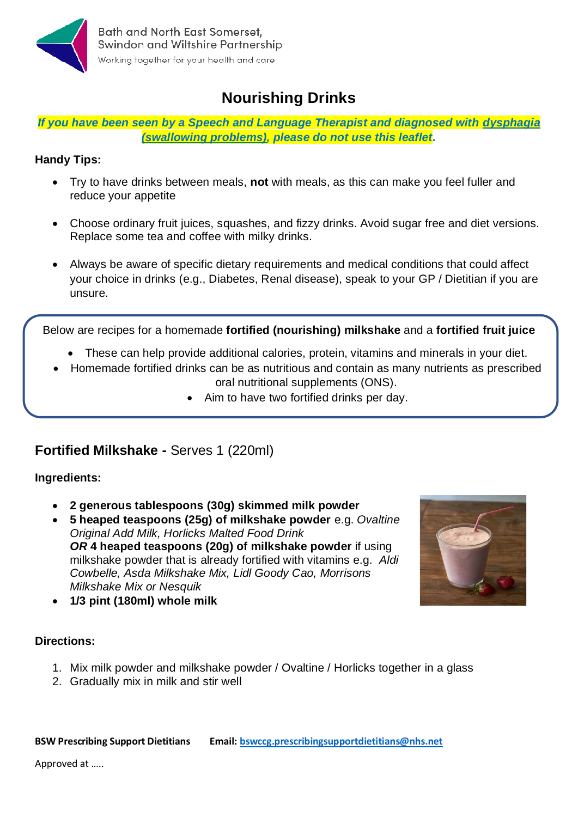

# **Nourishing Drinks**

*If you have been seen by a Speech and Language Therapist and diagnosed with dysphagia (swallowing problems), please do not use this leaflet.*

#### **Handy Tips:**

- Try to have drinks between meals, **not** with meals, as this can make you feel fuller and reduce your appetite
- Choose ordinary fruit juices, squashes, and fizzy drinks. Avoid sugar free and diet versions. Replace some tea and coffee with milky drinks.
- Always be aware of specific dietary requirements and medical conditions that could affect your choice in drinks (e.g., Diabetes, Renal disease), speak to your GP / Dietitian if you are unsure.

Below are recipes for a homemade **fortified (nourishing) milkshake** and a **fortified fruit juice**

- These can help provide additional calories, protein, vitamins and minerals in your diet.
- Homemade fortified drinks can be as nutritious and contain as many nutrients as prescribed oral nutritional supplements (ONS).
	- Aim to have two fortified drinks per day.

## **Fortified Milkshake -** Serves 1 (220ml)

#### **Ingredients:**

- **2 generous tablespoons (30g) skimmed milk powder**
- **5 heaped teaspoons (25g) of milkshake powder** e.g. *Ovaltine Original Add Milk, Horlicks Malted Food Drink OR* **4 heaped teaspoons (20g) of milkshake powder** if using milkshake powder that is already fortified with vitamins e.g. *Aldi Cowbelle, Asda Milkshake Mix, Lidl Goody Cao, Morrisons Milkshake Mix or Nesquik*



• **1/3 pint (180ml) whole milk** 

### **Directions:**

- 1. Mix milk powder and milkshake powder / Ovaltine / Horlicks together in a glass
- 2. Gradually mix in milk and stir well

**BSW Prescribing Support Dietitians Email[: bswccg.prescribingsupportdietitians@nhs.net](mailto:bswccg.prescribingsupportdietitians@nhs.net)**

Approved at …..